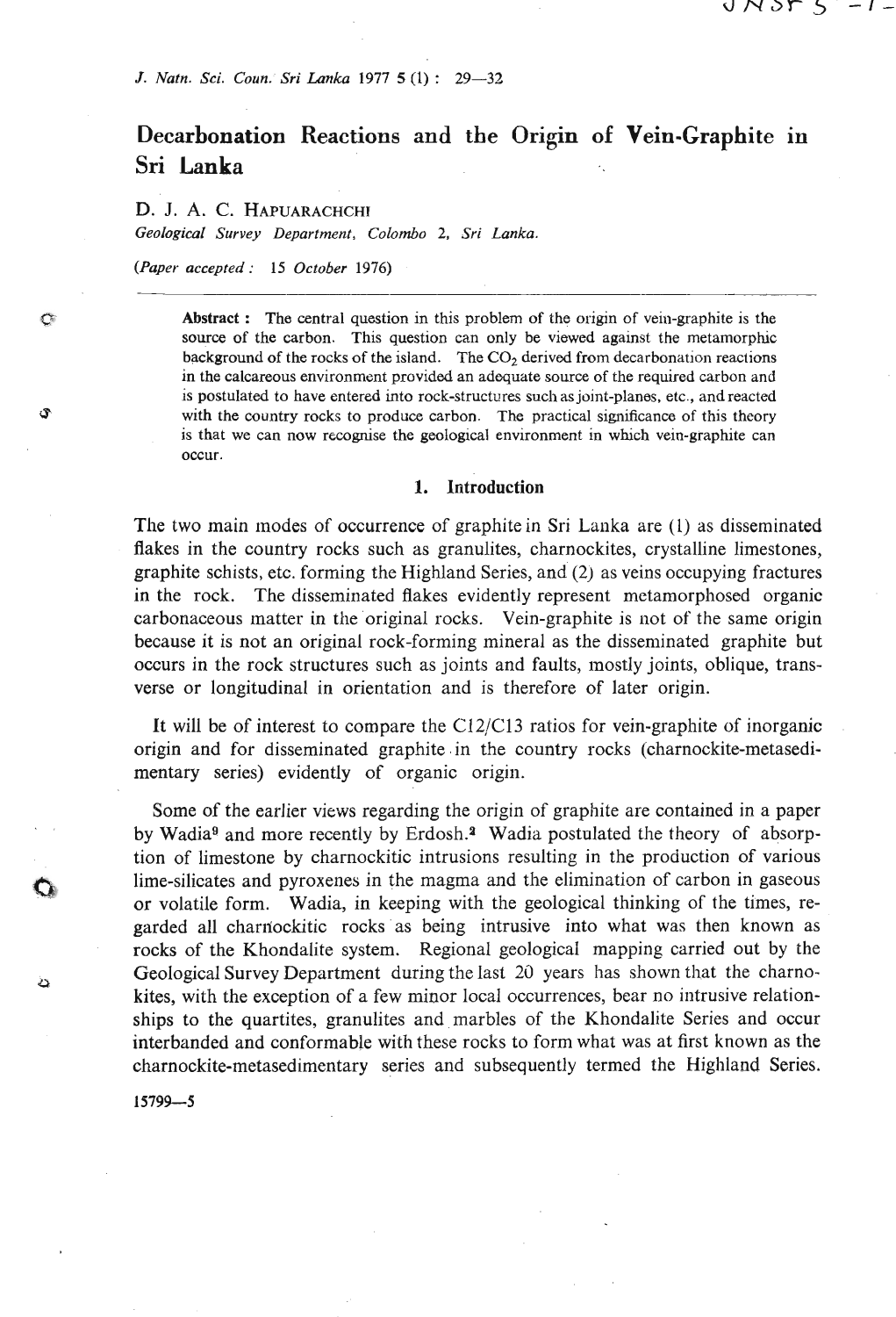# **Decarbonation Reactions and the Origin of Vein-Graphite in Sri Lanka**

U N SN 5

## **D. J. A. C. HAPUARACHCHI**

*Geologieol Survey Department, Colombo* **2,** *Sri Lanka.* 

*(Paper accepted: 15 October 1976)* 

¢

Ĵ

د

**Abstract** : **The central question in this problem of the origin of vein-graphite is the source of the carbon. This question can only be viewed against the metamorphic background of the rocks of the island. The** *C02* **derived from decarbonation reactions in the calcareous environment provided an adequate source of the required carbon and is postulated to have entered into rock-structures such as joint-planes, etc., and reacted with the country rocks to produce carbon. The practical significance of this theory**  is that we can now recognise the geological environment in which vein-graphite can **occur.** 

#### **1. Introduction**

The two main modes of occurrence of graphitein Sri Lanka are (1) as disseminated flakes in the country rocks such as granulites, charnockites, crystalline limestones, graphite schists, etc. forming the Highland Series, and (2) as veins occupying fractures in the rock. The disseminated flakes evidently represent metamorphosed organic carbonaceous matter in the original rocks. Vein-graphite is not of the same origin because it is not an original rock-forming mineral as the disseminated graphite but occurs in the rock structures such as joints and faults, mostly joints, oblique, transverse or longitudinal in orientation and is therefore of later origin.

It will be of interest to compare the C12/C13 ratios for vein-graphite of inorganic origin and for disseminated graphite .in the country rocks (charnockite-metasedimentary series) evidently of organic origin.

Some of the earlier views regarding the origin of graphite are contained in a paper by Wadia<sup>9</sup> and more recently by Erdosh.<sup>2</sup> Wadia postulated the theory of absorption of limestone by charnockitic intrusions resulting in the production of various lime-silicates and pyroxenes in the magma and the elimination of carbon in gaseous or volatile form. Wadia, in keeping with the geological thinking of the times, regarded all charriockitic rocks as being intrusive into what was then known as rocks of the Khondalite system. Regional geological mapping carried out by the Geological Survey Department during the last 2d years has shown that the charnokites, with the exception of a few minor local occurrences, bear no intrusive relationships to the quartites, granulites and marbles of the Khondalite Series and occur interbanded and conformable with these rocks to form what was at first known as the charnockite-metasedimentary series and subsequently termed the Highland Series.

 $15799 - 5$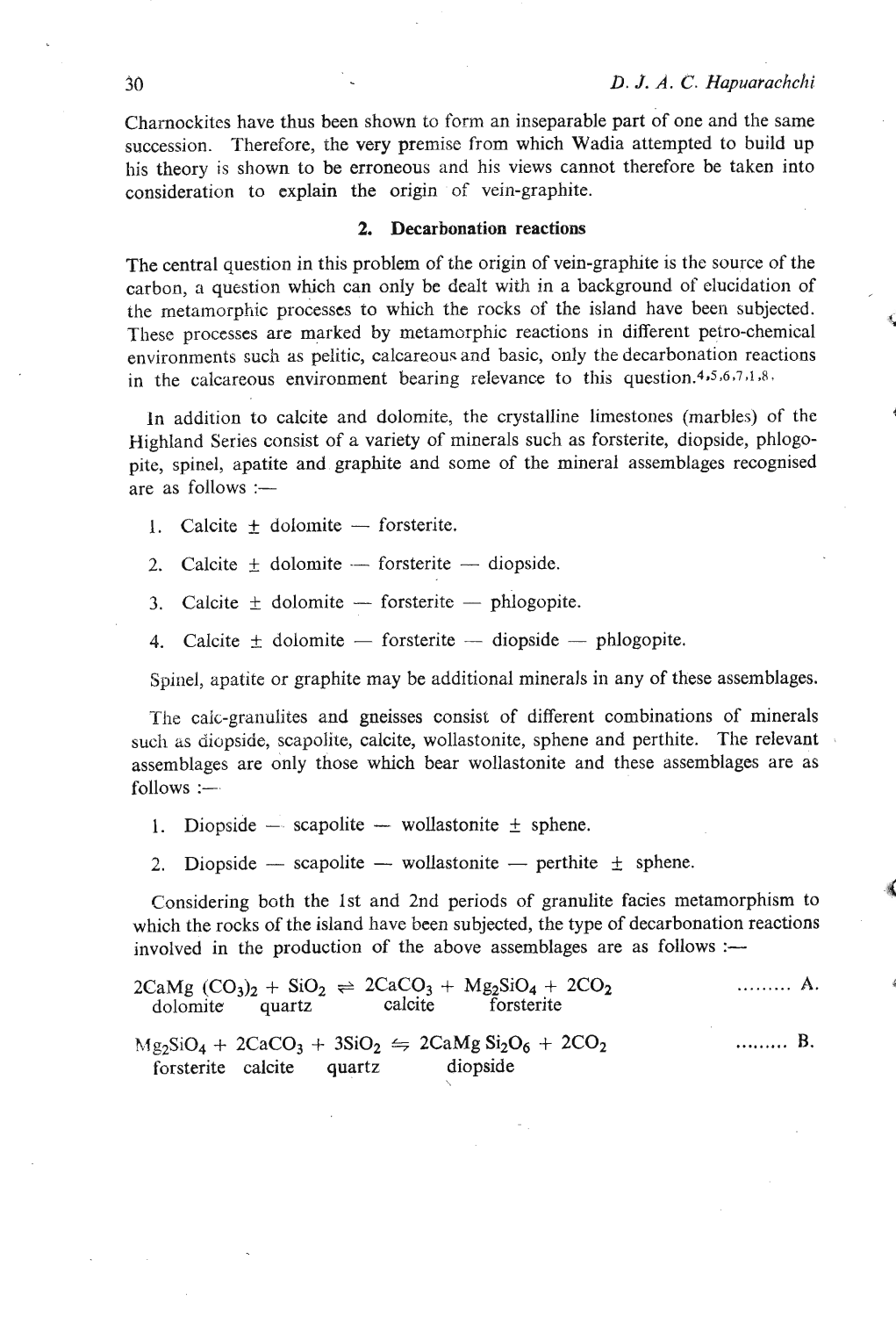Charnockites have thus been shown to form an inseparable part of one and the same succession. Therefore, the very premise from which Wadia attempted to build up his theory is shown to be erroneous and his views cannot therefore be taken into consideration to explain the origin of vein-graphite.

## 2. Decarbonation reactions

The central question in this problem of the origin of vein-graphite is the source of the carbon, a question which can only be dealt with in a background of elucidation of the metamorphic processes to which the rocks of the island have been subjected. These processes are marked by metamorphic reactions in different petro-chemical **<sup>t</sup>** environments such as pelitic, calcareous and basic, only the decarbonation reactions in the calcareous environment bearing relevance to this question.<sup>4,5,6,7,1,8,</sup>

In addition to calcite and dolomite, the crystalline limestones (marbles) of the **<sup>4</sup>** Highland Series consist of a variety of minerals such as forsterite, diopside, phlogopite, spinel, apatite and graphite and some of the mineral assemblages recognised are as follows :-

- 1. Calcite  $+$  dolomite  $-$  forsterite.
- 2. Calcite  $\pm$  dolomite -- forsterite -- diopside.
- 3. Calcite  $\pm$  dolomite forsterite phlogopite.
- 4. Calcite  $\pm$  dolomite  $-$  forsterite  $-$  diopside  $-$  phlogopite.

Spinel, apatite or graphite may be additional minerals in any of these assemblages.

The caic-granulites and gneisses consist of different combinations of minerals such as diopside, scapolite, calcite, wollastonite, sphene and perthite. The relevant assemblages are only those which bear wollastonite and these assemblages are as  $follows :=$ 

- 1. Diopside  $-$  scapolite  $-$  wollastonite  $\pm$  sphene.
- 2. Diopside scapolite wollastonite perthite  $\pm$  sphene.

Considering both the 1st and 2nd periods of granulite facies metamorphism to **<sup>4</sup>** which the rocks of the island have been subjected, the type of decarbonation reactions involved in the production of the above assemblages are as follows :-

|                           | $2CaMg$ $(CO_3)_2 + SiO_2 \rightleftharpoons 2CaCO_3 + Mg_2SiO_4 + 2CO_2$<br>dolomite quartz calcite forsterite | . <b>A</b> . |
|---------------------------|-----------------------------------------------------------------------------------------------------------------|--------------|
| forsterite calcite quartz | $Mg_2SiO_4 + 2CaCO_3 + 3SiO_2 \Leftrightarrow 2CaMg Si_2O_6 + 2CO_2$<br>diopside                                | . B.         |

 $\tilde{\zeta}$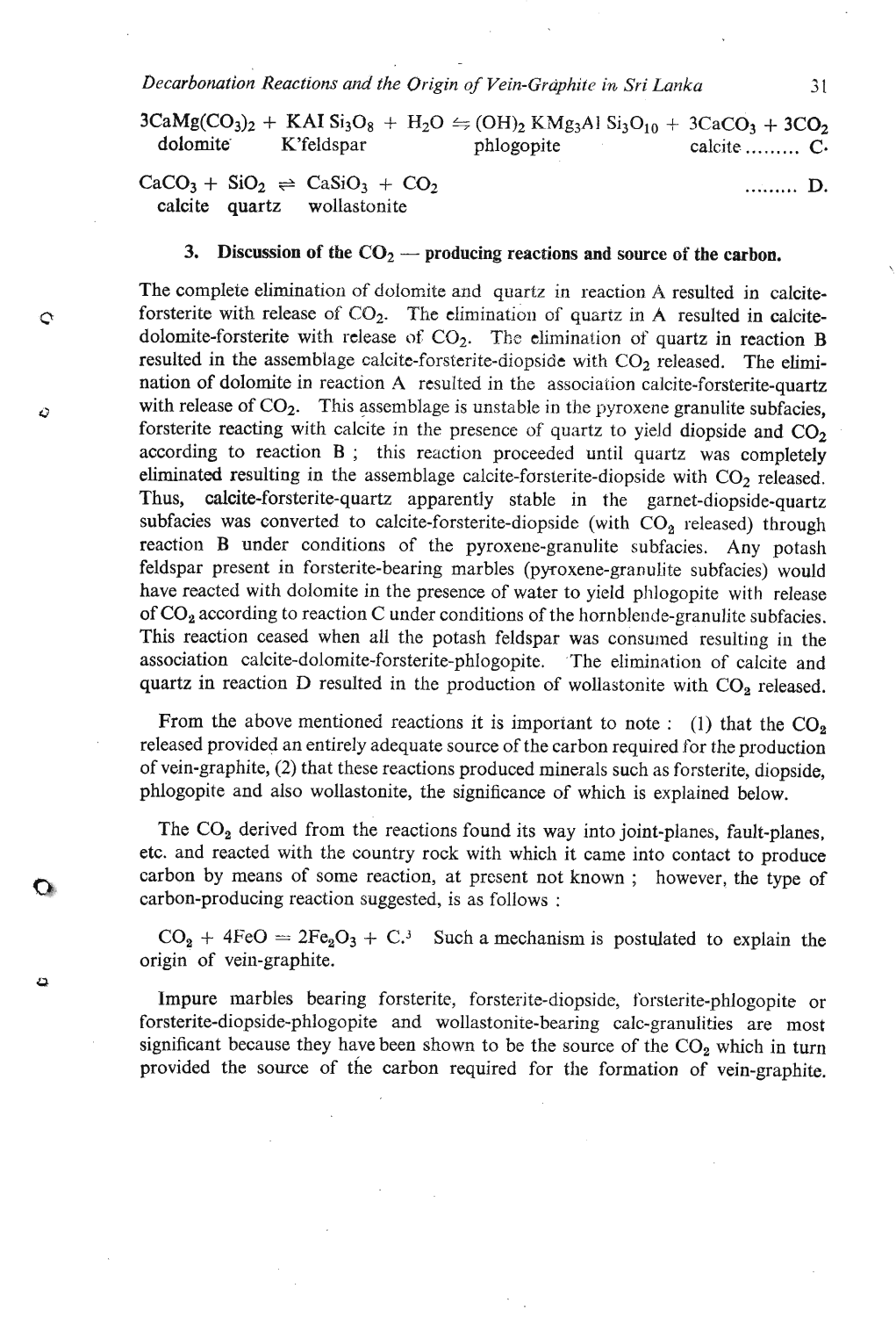*Decarbonation Reactions and the Origin of Vein-Grciphite in Sri Lanka* **3** 1

 $3CaMg(CO_3)_2 + KAI Si_3O_8 + H_2O \leftrightharpoons (OH)_2 KMg_3Al Si_3O_{10} + 3CaCO_3 + 3CO_2$ dolomite K'feldspar phlogopite calcite ......... *C*.

 $CaCO<sub>3</sub> + SiO<sub>2</sub> \rightleftharpoons CaSiO<sub>3</sub> + CO<sub>2</sub>$  ......... **D.** calcite quartz wollastonite

¢

Q

Œ

ء

#### 3. Discussion of the  $CO<sub>2</sub>$  - producing reactions and source of the carbon.

The complete elimination of dolomite and quartz in reaction A resulted in calciteforsterite with release of  $CO<sub>2</sub>$ . The elimination of quartz in A resulted in calcitedolomite-forsterite with release of  $CO<sub>2</sub>$ . The elimination of quartz in reaction B resulted in the assemblage calcite-forsterite-diopside with CO<sub>2</sub> released. The elimination of dolomite in reaction **A** resulted in the association calcite-forsterite-quartz with release of  $CO<sub>2</sub>$ . This assemblage is unstable in the pyroxene granulite subfacies, forsterite reacting with calcite in the presence of quartz to yield diopside and  $CO<sub>2</sub>$ according to reaction B ; this reaction proceeded until quartz was completely eliminated resulting in the assemblage calcite-forsterite-diopside with  $CO<sub>2</sub>$  released. Thus, calcite-forsterite-quartz apparently stable in the garnet-diopside-quartz subfacies was converted to calcite-forsterite-diopside (with  $CO<sub>2</sub>$  released) through reaction B under conditions of the pyroxene-granulite subfacies. Any potash feldspar present in forsterite-bearing marbles (pyroxene-granulite subfacies) would have reacted with dolomite in the presence of water to yield phlogopite with release of CO<sub>2</sub> according to reaction C under conditions of the hornblende-granulite subfacies. This reaction ceased when all the potash feldspar was consumed resulting in the association calcite-dolomite-forsterite-phlogopite. The elimination of calcite and quartz in reaction D resulted in the production of wollastonite with  $CO<sub>2</sub>$  released.

From the above mentioned reactions it is important to note : (1) that the  $CO<sub>2</sub>$ released provided an entirely adequate source of the carbon required for the production of vein-graphite, (2) that these reactions produced minerals such as forsterite, diopside, phlogopite and also wollastonite, the significance of which is explained below.

The  $CO<sub>2</sub>$  derived from the reactions found its way into joint-planes, fault-planes, etc. and reacted with the country rock with which it came into contact to produce carbon by means of some reaction, at present not known ; however, the type of carbon-producing reaction suggested, is as follows :

 $CO<sub>2</sub> + 4FeO = 2Fe<sub>2</sub>O<sub>3</sub> + C<sup>3</sup>$  Such a mechanism is postulated to explain the origin of vein-graphite.

Impure marbles bearing forsterite, forsterite-diopside, forsterite-phlogopite or forsterite-diopside-phlogopite and wollastonite-bearing calc-granulities are most significant because they have been shown to be the source of the  $CO<sub>2</sub>$  which in turn provided the source of the carbon required for the formation of vein-graphite.